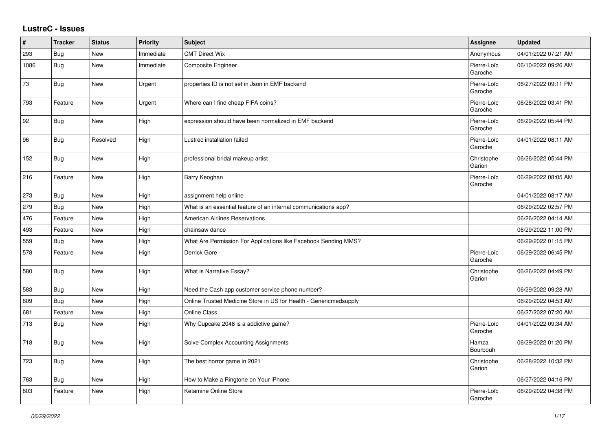## **LustreC - Issues**

| #    | <b>Tracker</b> | <b>Status</b> | <b>Priority</b> | <b>Subject</b>                                                    | <b>Assignee</b>        | <b>Updated</b>      |
|------|----------------|---------------|-----------------|-------------------------------------------------------------------|------------------------|---------------------|
| 293  | Bug            | <b>New</b>    | Immediate       | <b>CMT Direct Wix</b>                                             | Anonymous              | 04/01/2022 07:21 AM |
| 1086 | Bug            | <b>New</b>    | Immediate       | Composite Engineer                                                | Pierre-Loïc<br>Garoche | 06/10/2022 09:26 AM |
| 73   | Bug            | New           | Urgent          | properties ID is not set in Json in EMF backend                   | Pierre-Loïc<br>Garoche | 06/27/2022 09:11 PM |
| 793  | Feature        | New           | Urgent          | Where can I find cheap FIFA coins?                                | Pierre-Loïc<br>Garoche | 06/28/2022 03:41 PM |
| 92   | Bug            | New           | High            | expression should have been normalized in EMF backend             | Pierre-Loïc<br>Garoche | 06/29/2022 05:44 PM |
| 96   | Bug            | Resolved      | High            | Lustrec installation failed                                       | Pierre-Loïc<br>Garoche | 04/01/2022 08:11 AM |
| 152  | <b>Bug</b>     | New           | High            | professional bridal makeup artist                                 | Christophe<br>Garion   | 06/26/2022 05:44 PM |
| 216  | Feature        | New           | High            | Barry Keoghan                                                     | Pierre-Loïc<br>Garoche | 06/29/2022 08:05 AM |
| 273  | Bug            | New           | High            | assignment help online                                            |                        | 04/01/2022 08:17 AM |
| 279  | <b>Bug</b>     | New           | High            | What is an essential feature of an internal communications app?   |                        | 06/29/2022 02:57 PM |
| 476  | Feature        | New           | High            | <b>American Airlines Reservations</b>                             |                        | 06/26/2022 04:14 AM |
| 493  | Feature        | <b>New</b>    | High            | chainsaw dance                                                    |                        | 06/29/2022 11:00 PM |
| 559  | Bug            | <b>New</b>    | High            | What Are Permission For Applications like Facebook Sending MMS?   |                        | 06/29/2022 01:15 PM |
| 578  | Feature        | New           | High            | Derrick Gore                                                      | Pierre-Loïc<br>Garoche | 06/29/2022 06:45 PM |
| 580  | Bug            | New           | High            | What is Narrative Essay?                                          | Christophe<br>Garion   | 06/26/2022 04:49 PM |
| 583  | Bug            | <b>New</b>    | High            | Need the Cash app customer service phone number?                  |                        | 06/29/2022 09:28 AM |
| 609  | <b>Bug</b>     | New           | High            | Online Trusted Medicine Store in US for Health - Genericmedsupply |                        | 06/29/2022 04:53 AM |
| 681  | Feature        | New           | High            | <b>Online Class</b>                                               |                        | 06/27/2022 07:20 AM |
| 713  | Bug            | <b>New</b>    | High            | Why Cupcake 2048 is a addictive game?                             | Pierre-Loïc<br>Garoche | 04/01/2022 09:34 AM |
| 718  | <b>Bug</b>     | <b>New</b>    | High            | Solve Complex Accounting Assignments                              | Hamza<br>Bourbouh      | 06/29/2022 01:20 PM |
| 723  | Bug            | New           | High            | The best horror game in 2021                                      | Christophe<br>Garion   | 06/28/2022 10:32 PM |
| 763  | Bug            | <b>New</b>    | High            | How to Make a Ringtone on Your iPhone                             |                        | 06/27/2022 04:16 PM |
| 803  | Feature        | <b>New</b>    | High            | Ketamine Online Store                                             | Pierre-Loïc<br>Garoche | 06/29/2022 04:38 PM |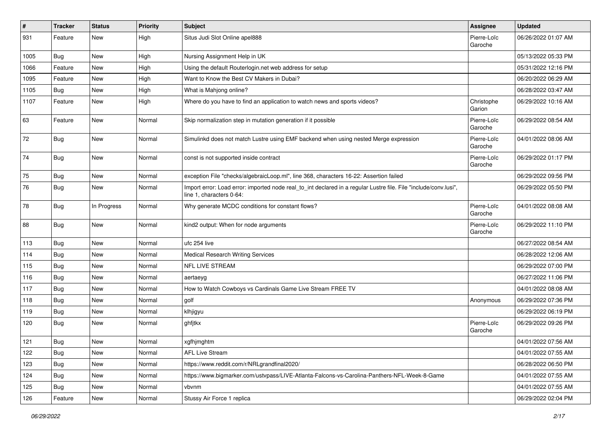| $\sharp$ | <b>Tracker</b> | <b>Status</b> | <b>Priority</b> | <b>Subject</b>                                                                                                                               | Assignee               | <b>Updated</b>      |
|----------|----------------|---------------|-----------------|----------------------------------------------------------------------------------------------------------------------------------------------|------------------------|---------------------|
| 931      | Feature        | New           | High            | Situs Judi Slot Online apel888                                                                                                               | Pierre-Loïc<br>Garoche | 06/26/2022 01:07 AM |
| 1005     | Bug            | New           | High            | Nursing Assignment Help in UK                                                                                                                |                        | 05/13/2022 05:33 PM |
| 1066     | Feature        | New           | High            | Using the default Routerlogin.net web address for setup                                                                                      |                        | 05/31/2022 12:16 PM |
| 1095     | Feature        | New           | High            | Want to Know the Best CV Makers in Dubai?                                                                                                    |                        | 06/20/2022 06:29 AM |
| 1105     | Bug            | New           | High            | What is Mahjong online?                                                                                                                      |                        | 06/28/2022 03:47 AM |
| 1107     | Feature        | New           | High            | Where do you have to find an application to watch news and sports videos?                                                                    | Christophe<br>Garion   | 06/29/2022 10:16 AM |
| 63       | Feature        | New           | Normal          | Skip normalization step in mutation generation if it possible                                                                                | Pierre-Loïc<br>Garoche | 06/29/2022 08:54 AM |
| 72       | Bug            | New           | Normal          | Simulinkd does not match Lustre using EMF backend when using nested Merge expression                                                         | Pierre-Loïc<br>Garoche | 04/01/2022 08:06 AM |
| 74       | Bug            | New           | Normal          | const is not supported inside contract                                                                                                       | Pierre-Loïc<br>Garoche | 06/29/2022 01:17 PM |
| 75       | Bug            | New           | Normal          | exception File "checks/algebraicLoop.ml", line 368, characters 16-22: Assertion failed                                                       |                        | 06/29/2022 09:56 PM |
| 76       | Bug            | New           | Normal          | Import error: Load error: imported node real_to_int declared in a regular Lustre file. File "include/conv.lusi",<br>line 1, characters 0-64: |                        | 06/29/2022 05:50 PM |
| 78       | Bug            | In Progress   | Normal          | Why generate MCDC conditions for constant flows?                                                                                             | Pierre-Loïc<br>Garoche | 04/01/2022 08:08 AM |
| 88       | Bug            | New           | Normal          | kind2 output: When for node arguments                                                                                                        | Pierre-Loïc<br>Garoche | 06/29/2022 11:10 PM |
| 113      | Bug            | New           | Normal          | ufc 254 live                                                                                                                                 |                        | 06/27/2022 08:54 AM |
| 114      | Bug            | New           | Normal          | <b>Medical Research Writing Services</b>                                                                                                     |                        | 06/28/2022 12:06 AM |
| 115      | Bug            | New           | Normal          | <b>NFL LIVE STREAM</b>                                                                                                                       |                        | 06/29/2022 07:00 PM |
| 116      | <b>Bug</b>     | New           | Normal          | aertaeyg                                                                                                                                     |                        | 06/27/2022 11:06 PM |
| 117      | Bug            | New           | Normal          | How to Watch Cowboys vs Cardinals Game Live Stream FREE TV                                                                                   |                        | 04/01/2022 08:08 AM |
| 118      | Bug            | New           | Normal          | golf                                                                                                                                         | Anonymous              | 06/29/2022 07:36 PM |
| 119      | Bug            | New           | Normal          | klhjigyu                                                                                                                                     |                        | 06/29/2022 06:19 PM |
| 120      | Bug            | New           | Normal          | ghfjtkx                                                                                                                                      | Pierre-Loïc<br>Garoche | 06/29/2022 09:26 PM |
| 121      | Bug            | New           | Normal          | xgfhjmghtm                                                                                                                                   |                        | 04/01/2022 07:56 AM |
| 122      | Bug            | New           | Normal          | <b>AFL Live Stream</b>                                                                                                                       |                        | 04/01/2022 07:55 AM |
| 123      | Bug            | New           | Normal          | https://www.reddit.com/r/NRLgrandfinal2020/                                                                                                  |                        | 06/28/2022 06:50 PM |
| 124      | Bug            | New           | Normal          | https://www.bigmarker.com/ustvpass/LIVE-Atlanta-Falcons-vs-Carolina-Panthers-NFL-Week-8-Game                                                 |                        | 04/01/2022 07:55 AM |
| 125      | Bug            | New           | Normal          | vbvnm                                                                                                                                        |                        | 04/01/2022 07:55 AM |
| 126      | Feature        | New           | Normal          | Stussy Air Force 1 replica                                                                                                                   |                        | 06/29/2022 02:04 PM |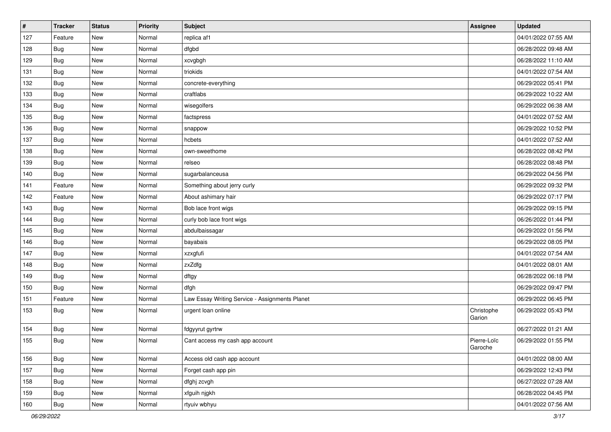| $\vert$ # | <b>Tracker</b> | <b>Status</b> | <b>Priority</b> | <b>Subject</b>                                 | Assignee               | <b>Updated</b>      |
|-----------|----------------|---------------|-----------------|------------------------------------------------|------------------------|---------------------|
| 127       | Feature        | New           | Normal          | replica af1                                    |                        | 04/01/2022 07:55 AM |
| 128       | Bug            | New           | Normal          | dfgbd                                          |                        | 06/28/2022 09:48 AM |
| 129       | Bug            | New           | Normal          | xcvgbgh                                        |                        | 06/28/2022 11:10 AM |
| 131       | <b>Bug</b>     | New           | Normal          | triokids                                       |                        | 04/01/2022 07:54 AM |
| 132       | <b>Bug</b>     | New           | Normal          | concrete-everything                            |                        | 06/29/2022 05:41 PM |
| 133       | Bug            | New           | Normal          | craftlabs                                      |                        | 06/29/2022 10:22 AM |
| 134       | Bug            | New           | Normal          | wisegolfers                                    |                        | 06/29/2022 06:38 AM |
| 135       | Bug            | New           | Normal          | factspress                                     |                        | 04/01/2022 07:52 AM |
| 136       | Bug            | New           | Normal          | snappow                                        |                        | 06/29/2022 10:52 PM |
| 137       | <b>Bug</b>     | New           | Normal          | hcbets                                         |                        | 04/01/2022 07:52 AM |
| 138       | Bug            | New           | Normal          | own-sweethome                                  |                        | 06/28/2022 08:42 PM |
| 139       | Bug            | New           | Normal          | relseo                                         |                        | 06/28/2022 08:48 PM |
| 140       | Bug            | New           | Normal          | sugarbalanceusa                                |                        | 06/29/2022 04:56 PM |
| 141       | Feature        | New           | Normal          | Something about jerry curly                    |                        | 06/29/2022 09:32 PM |
| 142       | Feature        | New           | Normal          | About ashimary hair                            |                        | 06/29/2022 07:17 PM |
| 143       | Bug            | New           | Normal          | Bob lace front wigs                            |                        | 06/29/2022 09:15 PM |
| 144       | Bug            | New           | Normal          | curly bob lace front wigs                      |                        | 06/26/2022 01:44 PM |
| 145       | <b>Bug</b>     | New           | Normal          | abdulbaissagar                                 |                        | 06/29/2022 01:56 PM |
| 146       | <b>Bug</b>     | New           | Normal          | bayabais                                       |                        | 06/29/2022 08:05 PM |
| 147       | Bug            | New           | Normal          | xzxgfufi                                       |                        | 04/01/2022 07:54 AM |
| 148       | Bug            | New           | Normal          | zxZdfg                                         |                        | 04/01/2022 08:01 AM |
| 149       | Bug            | New           | Normal          | dftgy                                          |                        | 06/28/2022 06:18 PM |
| 150       | Bug            | New           | Normal          | dfgh                                           |                        | 06/29/2022 09:47 PM |
| 151       | Feature        | New           | Normal          | Law Essay Writing Service - Assignments Planet |                        | 06/29/2022 06:45 PM |
| 153       | Bug            | New           | Normal          | urgent loan online                             | Christophe<br>Garion   | 06/29/2022 05:43 PM |
| 154       | <b>Bug</b>     | New           | Normal          | fdgyyrut gyrtrw                                |                        | 06/27/2022 01:21 AM |
| 155       | Bug            | New           | Normal          | Cant access my cash app account                | Pierre-Loïc<br>Garoche | 06/29/2022 01:55 PM |
| 156       | <b>Bug</b>     | New           | Normal          | Access old cash app account                    |                        | 04/01/2022 08:00 AM |
| 157       | Bug            | New           | Normal          | Forget cash app pin                            |                        | 06/29/2022 12:43 PM |
| 158       | <b>Bug</b>     | New           | Normal          | dfghj zcvgh                                    |                        | 06/27/2022 07:28 AM |
| 159       | <b>Bug</b>     | New           | Normal          | xfguih njgkh                                   |                        | 06/28/2022 04:45 PM |
| 160       | <b>Bug</b>     | New           | Normal          | rtyuiv wbhyu                                   |                        | 04/01/2022 07:56 AM |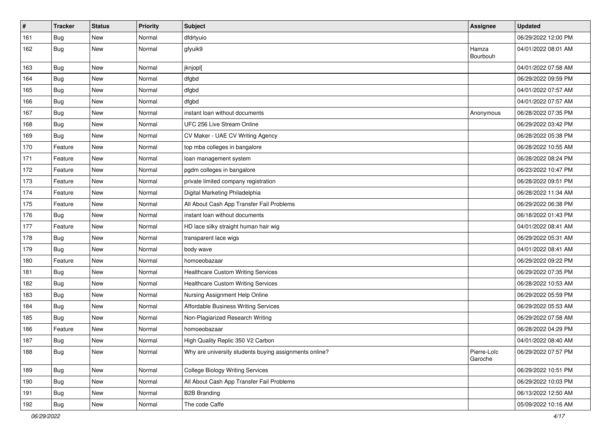| $\vert$ # | <b>Tracker</b> | <b>Status</b> | <b>Priority</b> | <b>Subject</b>                                         | <b>Assignee</b>        | <b>Updated</b>      |
|-----------|----------------|---------------|-----------------|--------------------------------------------------------|------------------------|---------------------|
| 161       | <b>Bug</b>     | New           | Normal          | dfdrtyuio                                              |                        | 06/29/2022 12:00 PM |
| 162       | Bug            | New           | Normal          | gfyuik9                                                | Hamza<br>Bourbouh      | 04/01/2022 08:01 AM |
| 163       | Bug            | New           | Normal          | jknjopl[                                               |                        | 04/01/2022 07:58 AM |
| 164       | Bug            | New           | Normal          | dfgbd                                                  |                        | 06/29/2022 09:59 PM |
| 165       | Bug            | New           | Normal          | dfgbd                                                  |                        | 04/01/2022 07:57 AM |
| 166       | Bug            | New           | Normal          | dfgbd                                                  |                        | 04/01/2022 07:57 AM |
| 167       | <b>Bug</b>     | New           | Normal          | instant loan without documents                         | Anonymous              | 06/28/2022 07:35 PM |
| 168       | Bug            | New           | Normal          | UFC 256 Live Stream Online                             |                        | 06/29/2022 03:42 PM |
| 169       | Bug            | New           | Normal          | CV Maker - UAE CV Writing Agency                       |                        | 06/28/2022 05:38 PM |
| 170       | Feature        | New           | Normal          | top mba colleges in bangalore                          |                        | 06/28/2022 10:55 AM |
| 171       | Feature        | New           | Normal          | loan management system                                 |                        | 06/28/2022 08:24 PM |
| 172       | Feature        | New           | Normal          | pgdm colleges in bangalore                             |                        | 06/23/2022 10:47 PM |
| 173       | Feature        | New           | Normal          | private limited company registration                   |                        | 06/28/2022 09:51 PM |
| 174       | Feature        | New           | Normal          | Digital Marketing Philadelphia                         |                        | 06/28/2022 11:34 AM |
| 175       | Feature        | New           | Normal          | All About Cash App Transfer Fail Problems              |                        | 06/29/2022 06:38 PM |
| 176       | <b>Bug</b>     | New           | Normal          | instant loan without documents                         |                        | 06/18/2022 01:43 PM |
| 177       | Feature        | New           | Normal          | HD lace silky straight human hair wig                  |                        | 04/01/2022 08:41 AM |
| 178       | Bug            | New           | Normal          | transparent lace wigs                                  |                        | 06/29/2022 05:31 AM |
| 179       | Bug            | New           | Normal          | body wave                                              |                        | 04/01/2022 08:41 AM |
| 180       | Feature        | New           | Normal          | homoeobazaar                                           |                        | 06/29/2022 09:22 PM |
| 181       | Bug            | New           | Normal          | <b>Healthcare Custom Writing Services</b>              |                        | 06/29/2022 07:35 PM |
| 182       | Bug            | New           | Normal          | <b>Healthcare Custom Writing Services</b>              |                        | 06/28/2022 10:53 AM |
| 183       | Bug            | New           | Normal          | Nursing Assignment Help Online                         |                        | 06/29/2022 05:59 PM |
| 184       | <b>Bug</b>     | New           | Normal          | Affordable Business Writing Services                   |                        | 06/29/2022 05:53 AM |
| 185       | Bug            | New           | Normal          | Non-Plagiarized Research Writing                       |                        | 06/29/2022 07:58 AM |
| 186       | Feature        | New           | Normal          | homoeobazaar                                           |                        | 06/28/2022 04:29 PM |
| 187       | Bug            | New           | Normal          | High Quality Replic 350 V2 Carbon                      |                        | 04/01/2022 08:40 AM |
| 188       | <b>Bug</b>     | New           | Normal          | Why are university students buying assignments online? | Pierre-Loïc<br>Garoche | 06/29/2022 07:57 PM |
| 189       | <b>Bug</b>     | New           | Normal          | <b>College Biology Writing Services</b>                |                        | 06/29/2022 10:51 PM |
| 190       | <b>Bug</b>     | New           | Normal          | All About Cash App Transfer Fail Problems              |                        | 06/29/2022 10:03 PM |
| 191       | <b>Bug</b>     | New           | Normal          | <b>B2B Branding</b>                                    |                        | 06/13/2022 12:50 AM |
| 192       | Bug            | New           | Normal          | The code Caffe                                         |                        | 05/09/2022 10:16 AM |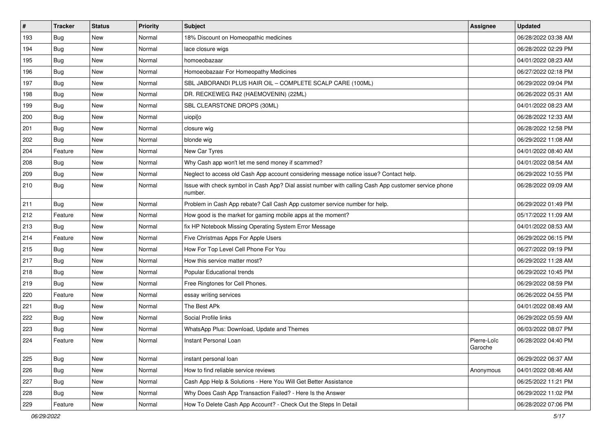| $\sharp$ | <b>Tracker</b> | <b>Status</b> | Priority | <b>Subject</b>                                                                                                  | Assignee               | <b>Updated</b>      |
|----------|----------------|---------------|----------|-----------------------------------------------------------------------------------------------------------------|------------------------|---------------------|
| 193      | Bug            | New           | Normal   | 18% Discount on Homeopathic medicines                                                                           |                        | 06/28/2022 03:38 AM |
| 194      | Bug            | <b>New</b>    | Normal   | lace closure wigs                                                                                               |                        | 06/28/2022 02:29 PM |
| 195      | Bug            | New           | Normal   | homoeobazaar                                                                                                    |                        | 04/01/2022 08:23 AM |
| 196      | Bug            | New           | Normal   | Homoeobazaar For Homeopathy Medicines                                                                           |                        | 06/27/2022 02:18 PM |
| 197      | Bug            | <b>New</b>    | Normal   | SBL JABORANDI PLUS HAIR OIL - COMPLETE SCALP CARE (100ML)                                                       |                        | 06/29/2022 09:04 PM |
| 198      | Bug            | New           | Normal   | DR. RECKEWEG R42 (HAEMOVENIN) (22ML)                                                                            |                        | 06/26/2022 05:31 AM |
| 199      | Bug            | <b>New</b>    | Normal   | SBL CLEARSTONE DROPS (30ML)                                                                                     |                        | 04/01/2022 08:23 AM |
| 200      | Bug            | New           | Normal   | uiopi[o                                                                                                         |                        | 06/28/2022 12:33 AM |
| 201      | Bug            | <b>New</b>    | Normal   | closure wig                                                                                                     |                        | 06/28/2022 12:58 PM |
| 202      | Bug            | <b>New</b>    | Normal   | blonde wig                                                                                                      |                        | 06/29/2022 11:08 AM |
| 204      | Feature        | New           | Normal   | New Car Tyres                                                                                                   |                        | 04/01/2022 08:40 AM |
| 208      | Bug            | New           | Normal   | Why Cash app won't let me send money if scammed?                                                                |                        | 04/01/2022 08:54 AM |
| 209      | Bug            | <b>New</b>    | Normal   | Neglect to access old Cash App account considering message notice issue? Contact help.                          |                        | 06/29/2022 10:55 PM |
| 210      | Bug            | New           | Normal   | Issue with check symbol in Cash App? Dial assist number with calling Cash App customer service phone<br>number. |                        | 06/28/2022 09:09 AM |
| 211      | Bug            | New           | Normal   | Problem in Cash App rebate? Call Cash App customer service number for help.                                     |                        | 06/29/2022 01:49 PM |
| 212      | Feature        | <b>New</b>    | Normal   | How good is the market for gaming mobile apps at the moment?                                                    |                        | 05/17/2022 11:09 AM |
| 213      | Bug            | New           | Normal   | fix HP Notebook Missing Operating System Error Message                                                          |                        | 04/01/2022 08:53 AM |
| 214      | Feature        | New           | Normal   | Five Christmas Apps For Apple Users                                                                             |                        | 06/29/2022 06:15 PM |
| 215      | Bug            | <b>New</b>    | Normal   | How For Top Level Cell Phone For You                                                                            |                        | 06/27/2022 09:19 PM |
| 217      | Bug            | <b>New</b>    | Normal   | How this service matter most?                                                                                   |                        | 06/29/2022 11:28 AM |
| 218      | Bug            | <b>New</b>    | Normal   | Popular Educational trends                                                                                      |                        | 06/29/2022 10:45 PM |
| 219      | Bug            | <b>New</b>    | Normal   | Free Ringtones for Cell Phones.                                                                                 |                        | 06/29/2022 08:59 PM |
| 220      | Feature        | New           | Normal   | essay writing services                                                                                          |                        | 06/26/2022 04:55 PM |
| 221      | Bug            | <b>New</b>    | Normal   | The Best APk                                                                                                    |                        | 04/01/2022 08:49 AM |
| 222      | Bug            | <b>New</b>    | Normal   | Social Profile links                                                                                            |                        | 06/29/2022 05:59 AM |
| 223      | <b>Bug</b>     | New           | Normal   | WhatsApp Plus: Download, Update and Themes                                                                      |                        | 06/03/2022 08:07 PM |
| 224      | Feature        | <b>New</b>    | Normal   | Instant Personal Loan                                                                                           | Pierre-Loïc<br>Garoche | 06/28/2022 04:40 PM |
| 225      | Bug            | New           | Normal   | instant personal loan                                                                                           |                        | 06/29/2022 06:37 AM |
| 226      | Bug            | New           | Normal   | How to find reliable service reviews                                                                            | Anonymous              | 04/01/2022 08:46 AM |
| 227      | Bug            | New           | Normal   | Cash App Help & Solutions - Here You Will Get Better Assistance                                                 |                        | 06/25/2022 11:21 PM |
| 228      | Bug            | New           | Normal   | Why Does Cash App Transaction Failed? - Here Is the Answer                                                      |                        | 06/29/2022 11:02 PM |
| 229      | Feature        | New           | Normal   | How To Delete Cash App Account? - Check Out the Steps In Detail                                                 |                        | 06/28/2022 07:06 PM |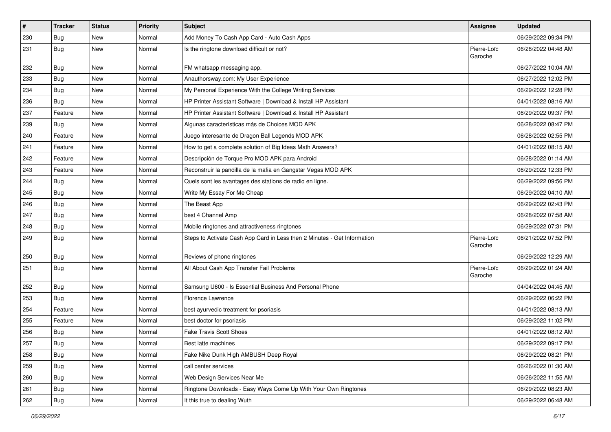| $\vert$ # | <b>Tracker</b> | <b>Status</b> | <b>Priority</b> | <b>Subject</b>                                                           | Assignee               | <b>Updated</b>      |
|-----------|----------------|---------------|-----------------|--------------------------------------------------------------------------|------------------------|---------------------|
| 230       | <b>Bug</b>     | New           | Normal          | Add Money To Cash App Card - Auto Cash Apps                              |                        | 06/29/2022 09:34 PM |
| 231       | Bug            | New           | Normal          | Is the ringtone download difficult or not?                               | Pierre-Loïc<br>Garoche | 06/28/2022 04:48 AM |
| 232       | Bug            | <b>New</b>    | Normal          | FM whatsapp messaging app.                                               |                        | 06/27/2022 10:04 AM |
| 233       | <b>Bug</b>     | <b>New</b>    | Normal          | Anauthorsway.com: My User Experience                                     |                        | 06/27/2022 12:02 PM |
| 234       | Bug            | New           | Normal          | My Personal Experience With the College Writing Services                 |                        | 06/29/2022 12:28 PM |
| 236       | <b>Bug</b>     | <b>New</b>    | Normal          | HP Printer Assistant Software   Download & Install HP Assistant          |                        | 04/01/2022 08:16 AM |
| 237       | Feature        | New           | Normal          | HP Printer Assistant Software   Download & Install HP Assistant          |                        | 06/29/2022 09:37 PM |
| 239       | Bug            | <b>New</b>    | Normal          | Algunas características más de Choices MOD APK                           |                        | 06/28/2022 08:47 PM |
| 240       | Feature        | New           | Normal          | Juego interesante de Dragon Ball Legends MOD APK                         |                        | 06/28/2022 02:55 PM |
| 241       | Feature        | New           | Normal          | How to get a complete solution of Big Ideas Math Answers?                |                        | 04/01/2022 08:15 AM |
| 242       | Feature        | New           | Normal          | Descripción de Torque Pro MOD APK para Android                           |                        | 06/28/2022 01:14 AM |
| 243       | Feature        | New           | Normal          | Reconstruir la pandilla de la mafia en Gangstar Vegas MOD APK            |                        | 06/29/2022 12:33 PM |
| 244       | <b>Bug</b>     | New           | Normal          | Quels sont les avantages des stations de radio en ligne.                 |                        | 06/29/2022 09:56 PM |
| 245       | <b>Bug</b>     | <b>New</b>    | Normal          | Write My Essay For Me Cheap                                              |                        | 06/29/2022 04:10 AM |
| 246       | Bug            | New           | Normal          | The Beast App                                                            |                        | 06/29/2022 02:43 PM |
| 247       | <b>Bug</b>     | New           | Normal          | best 4 Channel Amp                                                       |                        | 06/28/2022 07:58 AM |
| 248       | <b>Bug</b>     | New           | Normal          | Mobile ringtones and attractiveness ringtones                            |                        | 06/29/2022 07:31 PM |
| 249       | Bug            | New           | Normal          | Steps to Activate Cash App Card in Less then 2 Minutes - Get Information | Pierre-Loïc<br>Garoche | 06/21/2022 07:52 PM |
| 250       | Bug            | New           | Normal          | Reviews of phone ringtones                                               |                        | 06/29/2022 12:29 AM |
| 251       | Bug            | <b>New</b>    | Normal          | All About Cash App Transfer Fail Problems                                | Pierre-Loïc<br>Garoche | 06/29/2022 01:24 AM |
| 252       | Bug            | New           | Normal          | Samsung U600 - Is Essential Business And Personal Phone                  |                        | 04/04/2022 04:45 AM |
| 253       | Bug            | <b>New</b>    | Normal          | Florence Lawrence                                                        |                        | 06/29/2022 06:22 PM |
| 254       | Feature        | New           | Normal          | best ayurvedic treatment for psoriasis                                   |                        | 04/01/2022 08:13 AM |
| 255       | Feature        | New           | Normal          | best doctor for psoriasis                                                |                        | 06/29/2022 11:02 PM |
| 256       | Bug            | <b>New</b>    | Normal          | <b>Fake Travis Scott Shoes</b>                                           |                        | 04/01/2022 08:12 AM |
| 257       | Bug            | New           | Normal          | Best latte machines                                                      |                        | 06/29/2022 09:17 PM |
| 258       | Bug            | New           | Normal          | Fake Nike Dunk High AMBUSH Deep Royal                                    |                        | 06/29/2022 08:21 PM |
| 259       | Bug            | New           | Normal          | call center services                                                     |                        | 06/26/2022 01:30 AM |
| 260       | <b>Bug</b>     | New           | Normal          | Web Design Services Near Me                                              |                        | 06/26/2022 11:55 AM |
| 261       | Bug            | New           | Normal          | Ringtone Downloads - Easy Ways Come Up With Your Own Ringtones           |                        | 06/29/2022 08:23 AM |
| 262       | <b>Bug</b>     | New           | Normal          | It this true to dealing Wuth                                             |                        | 06/29/2022 06:48 AM |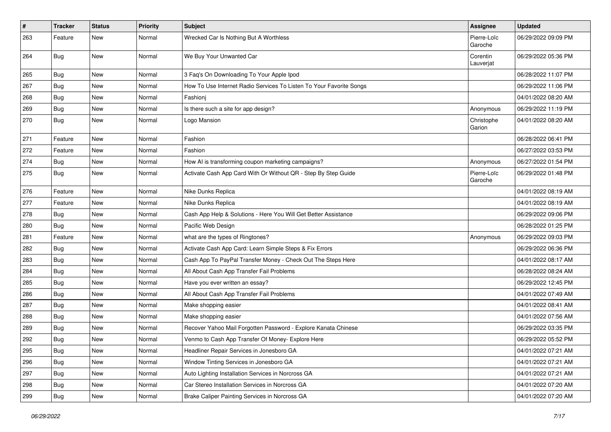| #   | <b>Tracker</b> | <b>Status</b> | <b>Priority</b> | <b>Subject</b>                                                      | <b>Assignee</b>        | <b>Updated</b>      |
|-----|----------------|---------------|-----------------|---------------------------------------------------------------------|------------------------|---------------------|
| 263 | Feature        | New           | Normal          | Wrecked Car Is Nothing But A Worthless                              | Pierre-Loïc<br>Garoche | 06/29/2022 09:09 PM |
| 264 | Bug            | <b>New</b>    | Normal          | We Buy Your Unwanted Car                                            | Corentin<br>Lauverjat  | 06/29/2022 05:36 PM |
| 265 | Bug            | <b>New</b>    | Normal          | 3 Faq's On Downloading To Your Apple Ipod                           |                        | 06/28/2022 11:07 PM |
| 267 | Bug            | New           | Normal          | How To Use Internet Radio Services To Listen To Your Favorite Songs |                        | 06/29/2022 11:06 PM |
| 268 | Bug            | <b>New</b>    | Normal          | Fashionj                                                            |                        | 04/01/2022 08:20 AM |
| 269 | Bug            | New           | Normal          | Is there such a site for app design?                                | Anonymous              | 06/29/2022 11:19 PM |
| 270 | Bug            | <b>New</b>    | Normal          | Logo Mansion                                                        | Christophe<br>Garion   | 04/01/2022 08:20 AM |
| 271 | Feature        | New           | Normal          | Fashion                                                             |                        | 06/28/2022 06:41 PM |
| 272 | Feature        | <b>New</b>    | Normal          | Fashion                                                             |                        | 06/27/2022 03:53 PM |
| 274 | Bug            | <b>New</b>    | Normal          | How AI is transforming coupon marketing campaigns?                  | Anonymous              | 06/27/2022 01:54 PM |
| 275 | Bug            | New           | Normal          | Activate Cash App Card With Or Without QR - Step By Step Guide      | Pierre-Loïc<br>Garoche | 06/29/2022 01:48 PM |
| 276 | Feature        | New           | Normal          | Nike Dunks Replica                                                  |                        | 04/01/2022 08:19 AM |
| 277 | Feature        | <b>New</b>    | Normal          | Nike Dunks Replica                                                  |                        | 04/01/2022 08:19 AM |
| 278 | Bug            | <b>New</b>    | Normal          | Cash App Help & Solutions - Here You Will Get Better Assistance     |                        | 06/29/2022 09:06 PM |
| 280 | Bug            | New           | Normal          | Pacific Web Design                                                  |                        | 06/28/2022 01:25 PM |
| 281 | Feature        | <b>New</b>    | Normal          | what are the types of Ringtones?                                    | Anonymous              | 06/29/2022 09:03 PM |
| 282 | Bug            | New           | Normal          | Activate Cash App Card: Learn Simple Steps & Fix Errors             |                        | 06/29/2022 06:36 PM |
| 283 | Bug            | New           | Normal          | Cash App To PayPal Transfer Money - Check Out The Steps Here        |                        | 04/01/2022 08:17 AM |
| 284 | Bug            | <b>New</b>    | Normal          | All About Cash App Transfer Fail Problems                           |                        | 06/28/2022 08:24 AM |
| 285 | Bug            | New           | Normal          | Have you ever written an essay?                                     |                        | 06/29/2022 12:45 PM |
| 286 | Bug            | <b>New</b>    | Normal          | All About Cash App Transfer Fail Problems                           |                        | 04/01/2022 07:49 AM |
| 287 | Bug            | <b>New</b>    | Normal          | Make shopping easier                                                |                        | 04/01/2022 08:41 AM |
| 288 | Bug            | <b>New</b>    | Normal          | Make shopping easier                                                |                        | 04/01/2022 07:56 AM |
| 289 | Bug            | <b>New</b>    | Normal          | Recover Yahoo Mail Forgotten Password - Explore Kanata Chinese      |                        | 06/29/2022 03:35 PM |
| 292 | Bug            | New           | Normal          | Venmo to Cash App Transfer Of Money- Explore Here                   |                        | 06/29/2022 05:52 PM |
| 295 | <b>Bug</b>     | New           | Normal          | Headliner Repair Services in Jonesboro GA                           |                        | 04/01/2022 07:21 AM |
| 296 | <b>Bug</b>     | New           | Normal          | Window Tinting Services in Jonesboro GA                             |                        | 04/01/2022 07:21 AM |
| 297 | Bug            | New           | Normal          | Auto Lighting Installation Services in Norcross GA                  |                        | 04/01/2022 07:21 AM |
| 298 | Bug            | New           | Normal          | Car Stereo Installation Services in Norcross GA                     |                        | 04/01/2022 07:20 AM |
| 299 | Bug            | New           | Normal          | Brake Caliper Painting Services in Norcross GA                      |                        | 04/01/2022 07:20 AM |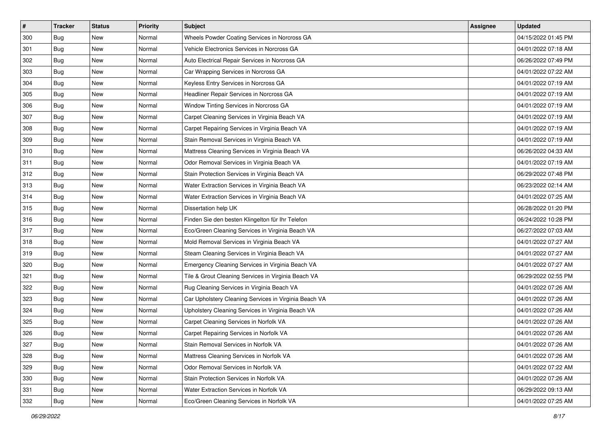| $\sharp$ | <b>Tracker</b> | <b>Status</b> | <b>Priority</b> | Subject                                               | <b>Assignee</b> | <b>Updated</b>      |
|----------|----------------|---------------|-----------------|-------------------------------------------------------|-----------------|---------------------|
| 300      | Bug            | New           | Normal          | Wheels Powder Coating Services in Norcross GA         |                 | 04/15/2022 01:45 PM |
| 301      | Bug            | <b>New</b>    | Normal          | Vehicle Electronics Services in Norcross GA           |                 | 04/01/2022 07:18 AM |
| 302      | Bug            | New           | Normal          | Auto Electrical Repair Services in Norcross GA        |                 | 06/26/2022 07:49 PM |
| 303      | Bug            | New           | Normal          | Car Wrapping Services in Norcross GA                  |                 | 04/01/2022 07:22 AM |
| 304      | Bug            | <b>New</b>    | Normal          | Keyless Entry Services in Norcross GA                 |                 | 04/01/2022 07:19 AM |
| 305      | Bug            | New           | Normal          | Headliner Repair Services in Norcross GA              |                 | 04/01/2022 07:19 AM |
| 306      | Bug            | <b>New</b>    | Normal          | Window Tinting Services in Norcross GA                |                 | 04/01/2022 07:19 AM |
| 307      | Bug            | New           | Normal          | Carpet Cleaning Services in Virginia Beach VA         |                 | 04/01/2022 07:19 AM |
| 308      | Bug            | <b>New</b>    | Normal          | Carpet Repairing Services in Virginia Beach VA        |                 | 04/01/2022 07:19 AM |
| 309      | Bug            | <b>New</b>    | Normal          | Stain Removal Services in Virginia Beach VA           |                 | 04/01/2022 07:19 AM |
| 310      | Bug            | <b>New</b>    | Normal          | Mattress Cleaning Services in Virginia Beach VA       |                 | 06/26/2022 04:33 AM |
| 311      | Bug            | New           | Normal          | Odor Removal Services in Virginia Beach VA            |                 | 04/01/2022 07:19 AM |
| 312      | Bug            | New           | Normal          | Stain Protection Services in Virginia Beach VA        |                 | 06/29/2022 07:48 PM |
| 313      | Bug            | New           | Normal          | Water Extraction Services in Virginia Beach VA        |                 | 06/23/2022 02:14 AM |
| 314      | Bug            | New           | Normal          | Water Extraction Services in Virginia Beach VA        |                 | 04/01/2022 07:25 AM |
| 315      | Bug            | New           | Normal          | Dissertation help UK                                  |                 | 06/28/2022 01:20 PM |
| 316      | Bug            | New           | Normal          | Finden Sie den besten Klingelton für Ihr Telefon      |                 | 06/24/2022 10:28 PM |
| 317      | Bug            | <b>New</b>    | Normal          | Eco/Green Cleaning Services in Virginia Beach VA      |                 | 06/27/2022 07:03 AM |
| 318      | Bug            | <b>New</b>    | Normal          | Mold Removal Services in Virginia Beach VA            |                 | 04/01/2022 07:27 AM |
| 319      | Bug            | <b>New</b>    | Normal          | Steam Cleaning Services in Virginia Beach VA          |                 | 04/01/2022 07:27 AM |
| 320      | Bug            | New           | Normal          | Emergency Cleaning Services in Virginia Beach VA      |                 | 04/01/2022 07:27 AM |
| 321      | Bug            | <b>New</b>    | Normal          | Tile & Grout Cleaning Services in Virginia Beach VA   |                 | 06/29/2022 02:55 PM |
| 322      | Bug            | <b>New</b>    | Normal          | Rug Cleaning Services in Virginia Beach VA            |                 | 04/01/2022 07:26 AM |
| 323      | Bug            | New           | Normal          | Car Upholstery Cleaning Services in Virginia Beach VA |                 | 04/01/2022 07:26 AM |
| 324      | Bug            | <b>New</b>    | Normal          | Upholstery Cleaning Services in Virginia Beach VA     |                 | 04/01/2022 07:26 AM |
| 325      | Bug            | New           | Normal          | Carpet Cleaning Services in Norfolk VA                |                 | 04/01/2022 07:26 AM |
| 326      | <b>Bug</b>     | New           | Normal          | Carpet Repairing Services in Norfolk VA               |                 | 04/01/2022 07:26 AM |
| 327      | <b>Bug</b>     | New           | Normal          | Stain Removal Services in Norfolk VA                  |                 | 04/01/2022 07:26 AM |
| 328      | Bug            | New           | Normal          | Mattress Cleaning Services in Norfolk VA              |                 | 04/01/2022 07:26 AM |
| 329      | Bug            | New           | Normal          | Odor Removal Services in Norfolk VA                   |                 | 04/01/2022 07:22 AM |
| 330      | Bug            | New           | Normal          | Stain Protection Services in Norfolk VA               |                 | 04/01/2022 07:26 AM |
| 331      | Bug            | New           | Normal          | Water Extraction Services in Norfolk VA               |                 | 06/29/2022 09:13 AM |
| 332      | <b>Bug</b>     | New           | Normal          | Eco/Green Cleaning Services in Norfolk VA             |                 | 04/01/2022 07:25 AM |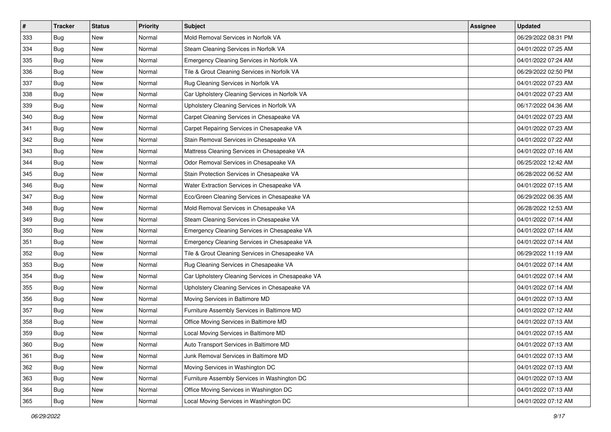| $\sharp$ | <b>Tracker</b> | <b>Status</b> | <b>Priority</b> | Subject                                           | <b>Assignee</b> | <b>Updated</b>      |
|----------|----------------|---------------|-----------------|---------------------------------------------------|-----------------|---------------------|
| 333      | Bug            | New           | Normal          | Mold Removal Services in Norfolk VA               |                 | 06/29/2022 08:31 PM |
| 334      | <b>Bug</b>     | <b>New</b>    | Normal          | Steam Cleaning Services in Norfolk VA             |                 | 04/01/2022 07:25 AM |
| 335      | Bug            | <b>New</b>    | Normal          | Emergency Cleaning Services in Norfolk VA         |                 | 04/01/2022 07:24 AM |
| 336      | Bug            | New           | Normal          | Tile & Grout Cleaning Services in Norfolk VA      |                 | 06/29/2022 02:50 PM |
| 337      | <b>Bug</b>     | New           | Normal          | Rug Cleaning Services in Norfolk VA               |                 | 04/01/2022 07:23 AM |
| 338      | <b>Bug</b>     | New           | Normal          | Car Upholstery Cleaning Services in Norfolk VA    |                 | 04/01/2022 07:23 AM |
| 339      | <b>Bug</b>     | <b>New</b>    | Normal          | Upholstery Cleaning Services in Norfolk VA        |                 | 06/17/2022 04:36 AM |
| 340      | Bug            | New           | Normal          | Carpet Cleaning Services in Chesapeake VA         |                 | 04/01/2022 07:23 AM |
| 341      | Bug            | <b>New</b>    | Normal          | Carpet Repairing Services in Chesapeake VA        |                 | 04/01/2022 07:23 AM |
| 342      | <b>Bug</b>     | <b>New</b>    | Normal          | Stain Removal Services in Chesapeake VA           |                 | 04/01/2022 07:22 AM |
| 343      | Bug            | <b>New</b>    | Normal          | Mattress Cleaning Services in Chesapeake VA       |                 | 04/01/2022 07:16 AM |
| 344      | Bug            | New           | Normal          | Odor Removal Services in Chesapeake VA            |                 | 06/25/2022 12:42 AM |
| 345      | <b>Bug</b>     | New           | Normal          | Stain Protection Services in Chesapeake VA        |                 | 06/28/2022 06:52 AM |
| 346      | <b>Bug</b>     | New           | Normal          | Water Extraction Services in Chesapeake VA        |                 | 04/01/2022 07:15 AM |
| 347      | <b>Bug</b>     | <b>New</b>    | Normal          | Eco/Green Cleaning Services in Chesapeake VA      |                 | 06/29/2022 06:35 AM |
| 348      | <b>Bug</b>     | New           | Normal          | Mold Removal Services in Chesapeake VA            |                 | 06/28/2022 12:53 AM |
| 349      | Bug            | New           | Normal          | Steam Cleaning Services in Chesapeake VA          |                 | 04/01/2022 07:14 AM |
| 350      | <b>Bug</b>     | <b>New</b>    | Normal          | Emergency Cleaning Services in Chesapeake VA      |                 | 04/01/2022 07:14 AM |
| 351      | <b>Bug</b>     | <b>New</b>    | Normal          | Emergency Cleaning Services in Chesapeake VA      |                 | 04/01/2022 07:14 AM |
| 352      | <b>Bug</b>     | <b>New</b>    | Normal          | Tile & Grout Cleaning Services in Chesapeake VA   |                 | 06/29/2022 11:19 AM |
| 353      | Bug            | New           | Normal          | Rug Cleaning Services in Chesapeake VA            |                 | 04/01/2022 07:14 AM |
| 354      | Bug            | <b>New</b>    | Normal          | Car Upholstery Cleaning Services in Chesapeake VA |                 | 04/01/2022 07:14 AM |
| 355      | <b>Bug</b>     | <b>New</b>    | Normal          | Upholstery Cleaning Services in Chesapeake VA     |                 | 04/01/2022 07:14 AM |
| 356      | Bug            | New           | Normal          | Moving Services in Baltimore MD                   |                 | 04/01/2022 07:13 AM |
| 357      | Bug            | <b>New</b>    | Normal          | Furniture Assembly Services in Baltimore MD       |                 | 04/01/2022 07:12 AM |
| 358      | Bug            | New           | Normal          | Office Moving Services in Baltimore MD            |                 | 04/01/2022 07:13 AM |
| 359      | <b>Bug</b>     | New           | Normal          | Local Moving Services in Baltimore MD             |                 | 04/01/2022 07:15 AM |
| 360      | <b>Bug</b>     | New           | Normal          | Auto Transport Services in Baltimore MD           |                 | 04/01/2022 07:13 AM |
| 361      | Bug            | New           | Normal          | Junk Removal Services in Baltimore MD             |                 | 04/01/2022 07:13 AM |
| 362      | Bug            | New           | Normal          | Moving Services in Washington DC                  |                 | 04/01/2022 07:13 AM |
| 363      | Bug            | New           | Normal          | Furniture Assembly Services in Washington DC      |                 | 04/01/2022 07:13 AM |
| 364      | Bug            | New           | Normal          | Office Moving Services in Washington DC           |                 | 04/01/2022 07:13 AM |
| 365      | <b>Bug</b>     | New           | Normal          | Local Moving Services in Washington DC            |                 | 04/01/2022 07:12 AM |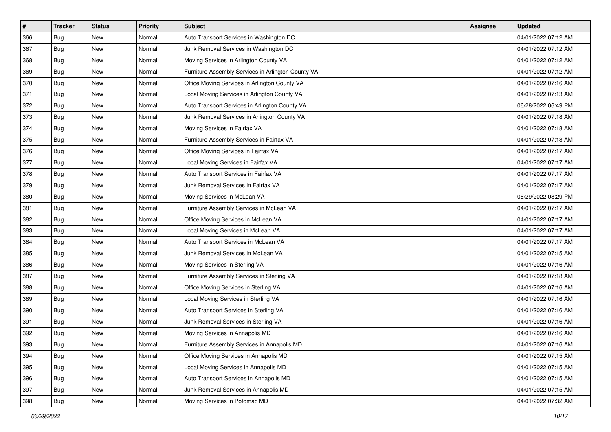| $\sharp$ | <b>Tracker</b> | <b>Status</b> | <b>Priority</b> | <b>Subject</b>                                     | <b>Assignee</b> | <b>Updated</b>      |
|----------|----------------|---------------|-----------------|----------------------------------------------------|-----------------|---------------------|
| 366      | Bug            | New           | Normal          | Auto Transport Services in Washington DC           |                 | 04/01/2022 07:12 AM |
| 367      | Bug            | <b>New</b>    | Normal          | Junk Removal Services in Washington DC             |                 | 04/01/2022 07:12 AM |
| 368      | Bug            | New           | Normal          | Moving Services in Arlington County VA             |                 | 04/01/2022 07:12 AM |
| 369      | Bug            | <b>New</b>    | Normal          | Furniture Assembly Services in Arlington County VA |                 | 04/01/2022 07:12 AM |
| 370      | Bug            | New           | Normal          | Office Moving Services in Arlington County VA      |                 | 04/01/2022 07:16 AM |
| 371      | Bug            | New           | Normal          | Local Moving Services in Arlington County VA       |                 | 04/01/2022 07:13 AM |
| 372      | Bug            | New           | Normal          | Auto Transport Services in Arlington County VA     |                 | 06/28/2022 06:49 PM |
| 373      | Bug            | New           | Normal          | Junk Removal Services in Arlington County VA       |                 | 04/01/2022 07:18 AM |
| 374      | Bug            | New           | Normal          | Moving Services in Fairfax VA                      |                 | 04/01/2022 07:18 AM |
| 375      | Bug            | <b>New</b>    | Normal          | Furniture Assembly Services in Fairfax VA          |                 | 04/01/2022 07:18 AM |
| 376      | Bug            | New           | Normal          | Office Moving Services in Fairfax VA               |                 | 04/01/2022 07:17 AM |
| 377      | Bug            | New           | Normal          | Local Moving Services in Fairfax VA                |                 | 04/01/2022 07:17 AM |
| 378      | Bug            | <b>New</b>    | Normal          | Auto Transport Services in Fairfax VA              |                 | 04/01/2022 07:17 AM |
| 379      | Bug            | New           | Normal          | Junk Removal Services in Fairfax VA                |                 | 04/01/2022 07:17 AM |
| 380      | <b>Bug</b>     | <b>New</b>    | Normal          | Moving Services in McLean VA                       |                 | 06/29/2022 08:29 PM |
| 381      | Bug            | New           | Normal          | Furniture Assembly Services in McLean VA           |                 | 04/01/2022 07:17 AM |
| 382      | Bug            | <b>New</b>    | Normal          | Office Moving Services in McLean VA                |                 | 04/01/2022 07:17 AM |
| 383      | Bug            | New           | Normal          | Local Moving Services in McLean VA                 |                 | 04/01/2022 07:17 AM |
| 384      | Bug            | New           | Normal          | Auto Transport Services in McLean VA               |                 | 04/01/2022 07:17 AM |
| 385      | Bug            | <b>New</b>    | Normal          | Junk Removal Services in McLean VA                 |                 | 04/01/2022 07:15 AM |
| 386      | Bug            | New           | Normal          | Moving Services in Sterling VA                     |                 | 04/01/2022 07:16 AM |
| 387      | Bug            | New           | Normal          | Furniture Assembly Services in Sterling VA         |                 | 04/01/2022 07:18 AM |
| 388      | Bug            | <b>New</b>    | Normal          | Office Moving Services in Sterling VA              |                 | 04/01/2022 07:16 AM |
| 389      | <b>Bug</b>     | New           | Normal          | Local Moving Services in Sterling VA               |                 | 04/01/2022 07:16 AM |
| 390      | Bug            | New           | Normal          | Auto Transport Services in Sterling VA             |                 | 04/01/2022 07:16 AM |
| 391      | Bug            | <b>New</b>    | Normal          | Junk Removal Services in Sterling VA               |                 | 04/01/2022 07:16 AM |
| 392      | <b>Bug</b>     | New           | Normal          | Moving Services in Annapolis MD                    |                 | 04/01/2022 07:16 AM |
| 393      | <b>Bug</b>     | New           | Normal          | Furniture Assembly Services in Annapolis MD        |                 | 04/01/2022 07:16 AM |
| 394      | Bug            | New           | Normal          | Office Moving Services in Annapolis MD             |                 | 04/01/2022 07:15 AM |
| 395      | Bug            | New           | Normal          | Local Moving Services in Annapolis MD              |                 | 04/01/2022 07:15 AM |
| 396      | Bug            | New           | Normal          | Auto Transport Services in Annapolis MD            |                 | 04/01/2022 07:15 AM |
| 397      | Bug            | New           | Normal          | Junk Removal Services in Annapolis MD              |                 | 04/01/2022 07:15 AM |
| 398      | <b>Bug</b>     | New           | Normal          | Moving Services in Potomac MD                      |                 | 04/01/2022 07:32 AM |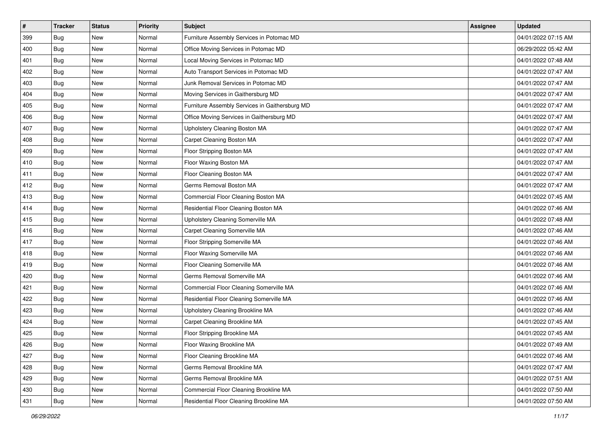| #   | <b>Tracker</b> | <b>Status</b> | <b>Priority</b> | Subject                                        | <b>Assignee</b> | <b>Updated</b>      |
|-----|----------------|---------------|-----------------|------------------------------------------------|-----------------|---------------------|
| 399 | Bug            | New           | Normal          | Furniture Assembly Services in Potomac MD      |                 | 04/01/2022 07:15 AM |
| 400 | <b>Bug</b>     | <b>New</b>    | Normal          | Office Moving Services in Potomac MD           |                 | 06/29/2022 05:42 AM |
| 401 | Bug            | New           | Normal          | Local Moving Services in Potomac MD            |                 | 04/01/2022 07:48 AM |
| 402 | Bug            | New           | Normal          | Auto Transport Services in Potomac MD          |                 | 04/01/2022 07:47 AM |
| 403 | Bug            | <b>New</b>    | Normal          | Junk Removal Services in Potomac MD            |                 | 04/01/2022 07:47 AM |
| 404 | Bug            | New           | Normal          | Moving Services in Gaithersburg MD             |                 | 04/01/2022 07:47 AM |
| 405 | Bug            | New           | Normal          | Furniture Assembly Services in Gaithersburg MD |                 | 04/01/2022 07:47 AM |
| 406 | Bug            | New           | Normal          | Office Moving Services in Gaithersburg MD      |                 | 04/01/2022 07:47 AM |
| 407 | Bug            | New           | Normal          | Upholstery Cleaning Boston MA                  |                 | 04/01/2022 07:47 AM |
| 408 | Bug            | <b>New</b>    | Normal          | Carpet Cleaning Boston MA                      |                 | 04/01/2022 07:47 AM |
| 409 | <b>Bug</b>     | New           | Normal          | Floor Stripping Boston MA                      |                 | 04/01/2022 07:47 AM |
| 410 | Bug            | New           | Normal          | Floor Waxing Boston MA                         |                 | 04/01/2022 07:47 AM |
| 411 | Bug            | New           | Normal          | Floor Cleaning Boston MA                       |                 | 04/01/2022 07:47 AM |
| 412 | Bug            | New           | Normal          | Germs Removal Boston MA                        |                 | 04/01/2022 07:47 AM |
| 413 | Bug            | New           | Normal          | Commercial Floor Cleaning Boston MA            |                 | 04/01/2022 07:45 AM |
| 414 | Bug            | New           | Normal          | Residential Floor Cleaning Boston MA           |                 | 04/01/2022 07:46 AM |
| 415 | Bug            | New           | Normal          | Upholstery Cleaning Somerville MA              |                 | 04/01/2022 07:48 AM |
| 416 | Bug            | New           | Normal          | Carpet Cleaning Somerville MA                  |                 | 04/01/2022 07:46 AM |
| 417 | Bug            | New           | Normal          | Floor Stripping Somerville MA                  |                 | 04/01/2022 07:46 AM |
| 418 | Bug            | <b>New</b>    | Normal          | Floor Waxing Somerville MA                     |                 | 04/01/2022 07:46 AM |
| 419 | Bug            | New           | Normal          | Floor Cleaning Somerville MA                   |                 | 04/01/2022 07:46 AM |
| 420 | Bug            | New           | Normal          | Germs Removal Somerville MA                    |                 | 04/01/2022 07:46 AM |
| 421 | Bug            | New           | Normal          | Commercial Floor Cleaning Somerville MA        |                 | 04/01/2022 07:46 AM |
| 422 | Bug            | New           | Normal          | Residential Floor Cleaning Somerville MA       |                 | 04/01/2022 07:46 AM |
| 423 | Bug            | New           | Normal          | Upholstery Cleaning Brookline MA               |                 | 04/01/2022 07:46 AM |
| 424 | Bug            | New           | Normal          | Carpet Cleaning Brookline MA                   |                 | 04/01/2022 07:45 AM |
| 425 | Bug            | New           | Normal          | Floor Stripping Brookline MA                   |                 | 04/01/2022 07:45 AM |
| 426 | <b>Bug</b>     | New           | Normal          | Floor Waxing Brookline MA                      |                 | 04/01/2022 07:49 AM |
| 427 | Bug            | New           | Normal          | Floor Cleaning Brookline MA                    |                 | 04/01/2022 07:46 AM |
| 428 | Bug            | New           | Normal          | Germs Removal Brookline MA                     |                 | 04/01/2022 07:47 AM |
| 429 | Bug            | New           | Normal          | Germs Removal Brookline MA                     |                 | 04/01/2022 07:51 AM |
| 430 | Bug            | New           | Normal          | Commercial Floor Cleaning Brookline MA         |                 | 04/01/2022 07:50 AM |
| 431 | <b>Bug</b>     | New           | Normal          | Residential Floor Cleaning Brookline MA        |                 | 04/01/2022 07:50 AM |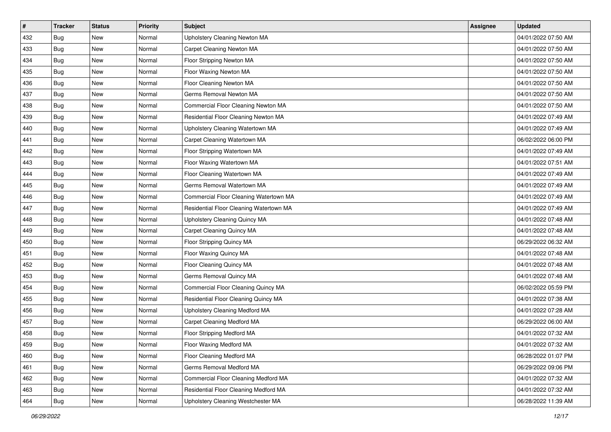| $\vert$ # | <b>Tracker</b> | <b>Status</b> | Priority | <b>Subject</b>                          | <b>Assignee</b> | <b>Updated</b>      |
|-----------|----------------|---------------|----------|-----------------------------------------|-----------------|---------------------|
| 432       | Bug            | New           | Normal   | Upholstery Cleaning Newton MA           |                 | 04/01/2022 07:50 AM |
| 433       | Bug            | New           | Normal   | Carpet Cleaning Newton MA               |                 | 04/01/2022 07:50 AM |
| 434       | Bug            | New           | Normal   | Floor Stripping Newton MA               |                 | 04/01/2022 07:50 AM |
| 435       | Bug            | New           | Normal   | Floor Waxing Newton MA                  |                 | 04/01/2022 07:50 AM |
| 436       | Bug            | <b>New</b>    | Normal   | Floor Cleaning Newton MA                |                 | 04/01/2022 07:50 AM |
| 437       | <b>Bug</b>     | New           | Normal   | Germs Removal Newton MA                 |                 | 04/01/2022 07:50 AM |
| 438       | Bug            | New           | Normal   | Commercial Floor Cleaning Newton MA     |                 | 04/01/2022 07:50 AM |
| 439       | Bug            | New           | Normal   | Residential Floor Cleaning Newton MA    |                 | 04/01/2022 07:49 AM |
| 440       | Bug            | New           | Normal   | Upholstery Cleaning Watertown MA        |                 | 04/01/2022 07:49 AM |
| 441       | <b>Bug</b>     | New           | Normal   | Carpet Cleaning Watertown MA            |                 | 06/02/2022 06:00 PM |
| 442       | Bug            | New           | Normal   | Floor Stripping Watertown MA            |                 | 04/01/2022 07:49 AM |
| 443       | Bug            | New           | Normal   | Floor Waxing Watertown MA               |                 | 04/01/2022 07:51 AM |
| 444       | <b>Bug</b>     | New           | Normal   | Floor Cleaning Watertown MA             |                 | 04/01/2022 07:49 AM |
| 445       | Bug            | New           | Normal   | Germs Removal Watertown MA              |                 | 04/01/2022 07:49 AM |
| 446       | <b>Bug</b>     | New           | Normal   | Commercial Floor Cleaning Watertown MA  |                 | 04/01/2022 07:49 AM |
| 447       | Bug            | New           | Normal   | Residential Floor Cleaning Watertown MA |                 | 04/01/2022 07:49 AM |
| 448       | Bug            | New           | Normal   | Upholstery Cleaning Quincy MA           |                 | 04/01/2022 07:48 AM |
| 449       | <b>Bug</b>     | <b>New</b>    | Normal   | Carpet Cleaning Quincy MA               |                 | 04/01/2022 07:48 AM |
| 450       | Bug            | New           | Normal   | Floor Stripping Quincy MA               |                 | 06/29/2022 06:32 AM |
| 451       | Bug            | New           | Normal   | Floor Waxing Quincy MA                  |                 | 04/01/2022 07:48 AM |
| 452       | Bug            | New           | Normal   | Floor Cleaning Quincy MA                |                 | 04/01/2022 07:48 AM |
| 453       | Bug            | New           | Normal   | Germs Removal Quincy MA                 |                 | 04/01/2022 07:48 AM |
| 454       | <b>Bug</b>     | <b>New</b>    | Normal   | Commercial Floor Cleaning Quincy MA     |                 | 06/02/2022 05:59 PM |
| 455       | Bug            | New           | Normal   | Residential Floor Cleaning Quincy MA    |                 | 04/01/2022 07:38 AM |
| 456       | Bug            | New           | Normal   | Upholstery Cleaning Medford MA          |                 | 04/01/2022 07:28 AM |
| 457       | Bug            | New           | Normal   | <b>Carpet Cleaning Medford MA</b>       |                 | 06/29/2022 06:00 AM |
| 458       | Bug            | New           | Normal   | Floor Stripping Medford MA              |                 | 04/01/2022 07:32 AM |
| 459       | <b>Bug</b>     | New           | Normal   | Floor Waxing Medford MA                 |                 | 04/01/2022 07:32 AM |
| 460       | Bug            | New           | Normal   | Floor Cleaning Medford MA               |                 | 06/28/2022 01:07 PM |
| 461       | Bug            | New           | Normal   | Germs Removal Medford MA                |                 | 06/29/2022 09:06 PM |
| 462       | Bug            | New           | Normal   | Commercial Floor Cleaning Medford MA    |                 | 04/01/2022 07:32 AM |
| 463       | <b>Bug</b>     | New           | Normal   | Residential Floor Cleaning Medford MA   |                 | 04/01/2022 07:32 AM |
| 464       | <b>Bug</b>     | New           | Normal   | Upholstery Cleaning Westchester MA      |                 | 06/28/2022 11:39 AM |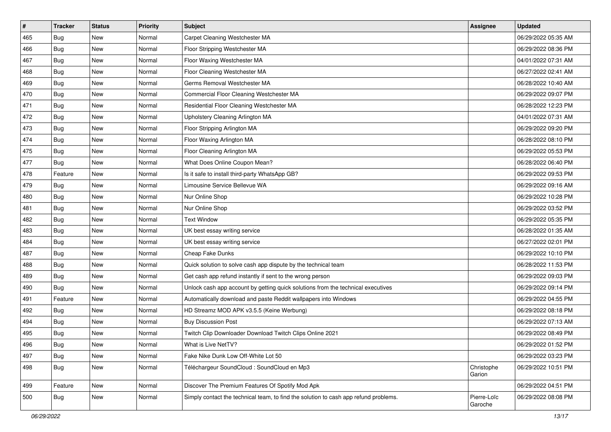| #   | <b>Tracker</b> | <b>Status</b> | <b>Priority</b> | <b>Subject</b>                                                                       | <b>Assignee</b>        | <b>Updated</b>      |
|-----|----------------|---------------|-----------------|--------------------------------------------------------------------------------------|------------------------|---------------------|
| 465 | Bug            | New           | Normal          | Carpet Cleaning Westchester MA                                                       |                        | 06/29/2022 05:35 AM |
| 466 | <b>Bug</b>     | New           | Normal          | Floor Stripping Westchester MA                                                       |                        | 06/29/2022 08:36 PM |
| 467 | <b>Bug</b>     | New           | Normal          | Floor Waxing Westchester MA                                                          |                        | 04/01/2022 07:31 AM |
| 468 | Bug            | New           | Normal          | Floor Cleaning Westchester MA                                                        |                        | 06/27/2022 02:41 AM |
| 469 | Bug            | New           | Normal          | Germs Removal Westchester MA                                                         |                        | 06/28/2022 10:40 AM |
| 470 | Bug            | New           | Normal          | Commercial Floor Cleaning Westchester MA                                             |                        | 06/29/2022 09:07 PM |
| 471 | <b>Bug</b>     | <b>New</b>    | Normal          | Residential Floor Cleaning Westchester MA                                            |                        | 06/28/2022 12:23 PM |
| 472 | Bug            | New           | Normal          | Upholstery Cleaning Arlington MA                                                     |                        | 04/01/2022 07:31 AM |
| 473 | Bug            | New           | Normal          | Floor Stripping Arlington MA                                                         |                        | 06/29/2022 09:20 PM |
| 474 | <b>Bug</b>     | New           | Normal          | Floor Waxing Arlington MA                                                            |                        | 06/28/2022 08:10 PM |
| 475 | Bug            | New           | Normal          | Floor Cleaning Arlington MA                                                          |                        | 06/29/2022 05:53 PM |
| 477 | Bug            | New           | Normal          | What Does Online Coupon Mean?                                                        |                        | 06/28/2022 06:40 PM |
| 478 | Feature        | New           | Normal          | Is it safe to install third-party WhatsApp GB?                                       |                        | 06/29/2022 09:53 PM |
| 479 | Bug            | New           | Normal          | Limousine Service Bellevue WA                                                        |                        | 06/29/2022 09:16 AM |
| 480 | <b>Bug</b>     | New           | Normal          | Nur Online Shop                                                                      |                        | 06/29/2022 10:28 PM |
| 481 | <b>Bug</b>     | New           | Normal          | Nur Online Shop                                                                      |                        | 06/29/2022 03:52 PM |
| 482 | Bug            | New           | Normal          | <b>Text Window</b>                                                                   |                        | 06/29/2022 05:35 PM |
| 483 | Bug            | New           | Normal          | UK best essay writing service                                                        |                        | 06/28/2022 01:35 AM |
| 484 | Bug            | New           | Normal          | UK best essay writing service                                                        |                        | 06/27/2022 02:01 PM |
| 487 | <b>Bug</b>     | <b>New</b>    | Normal          | Cheap Fake Dunks                                                                     |                        | 06/29/2022 10:10 PM |
| 488 | Bug            | New           | Normal          | Quick solution to solve cash app dispute by the technical team                       |                        | 06/28/2022 11:53 PM |
| 489 | Bug            | New           | Normal          | Get cash app refund instantly if sent to the wrong person                            |                        | 06/29/2022 09:03 PM |
| 490 | <b>Bug</b>     | New           | Normal          | Unlock cash app account by getting quick solutions from the technical executives     |                        | 06/29/2022 09:14 PM |
| 491 | Feature        | New           | Normal          | Automatically download and paste Reddit wallpapers into Windows                      |                        | 06/29/2022 04:55 PM |
| 492 | <b>Bug</b>     | New           | Normal          | HD Streamz MOD APK v3.5.5 (Keine Werbung)                                            |                        | 06/29/2022 08:18 PM |
| 494 | Bug            | New           | Normal          | <b>Buy Discussion Post</b>                                                           |                        | 06/29/2022 07:13 AM |
| 495 | Bug            | New           | Normal          | Twitch Clip Downloader Download Twitch Clips Online 2021                             |                        | 06/29/2022 08:49 PM |
| 496 | <b>Bug</b>     | New           | Normal          | What is Live NetTV?                                                                  |                        | 06/29/2022 01:52 PM |
| 497 | Bug            | New           | Normal          | Fake Nike Dunk Low Off-White Lot 50                                                  |                        | 06/29/2022 03:23 PM |
| 498 | Bug            | New           | Normal          | Téléchargeur SoundCloud : SoundCloud en Mp3                                          | Christophe<br>Garion   | 06/29/2022 10:51 PM |
| 499 | Feature        | New           | Normal          | Discover The Premium Features Of Spotify Mod Apk                                     |                        | 06/29/2022 04:51 PM |
| 500 | <b>Bug</b>     | New           | Normal          | Simply contact the technical team, to find the solution to cash app refund problems. | Pierre-Loïc<br>Garoche | 06/29/2022 08:08 PM |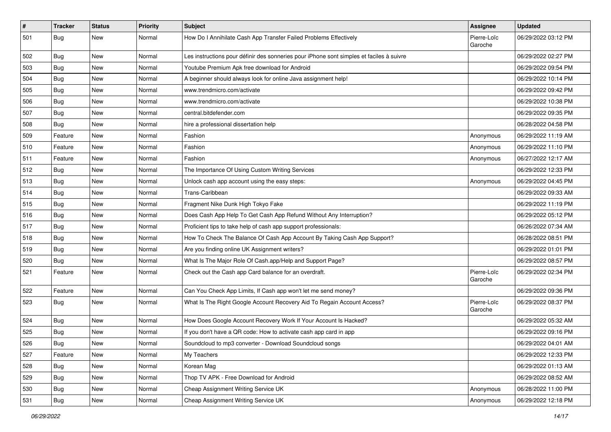| $\vert$ # | <b>Tracker</b> | <b>Status</b> | <b>Priority</b> | Subject                                                                                  | Assignee               | <b>Updated</b>      |
|-----------|----------------|---------------|-----------------|------------------------------------------------------------------------------------------|------------------------|---------------------|
| 501       | Bug            | New           | Normal          | How Do I Annihilate Cash App Transfer Failed Problems Effectively                        | Pierre-Loïc<br>Garoche | 06/29/2022 03:12 PM |
| 502       | Bug            | New           | Normal          | Les instructions pour définir des sonneries pour iPhone sont simples et faciles à suivre |                        | 06/29/2022 02:27 PM |
| 503       | Bug            | <b>New</b>    | Normal          | Youtube Premium Apk free download for Android                                            |                        | 06/29/2022 09:54 PM |
| 504       | <b>Bug</b>     | New           | Normal          | A beginner should always look for online Java assignment help!                           |                        | 06/29/2022 10:14 PM |
| 505       | Bug            | New           | Normal          | www.trendmicro.com/activate                                                              |                        | 06/29/2022 09:42 PM |
| 506       | Bug            | New           | Normal          | www.trendmicro.com/activate                                                              |                        | 06/29/2022 10:38 PM |
| 507       | Bug            | New           | Normal          | central.bitdefender.com                                                                  |                        | 06/29/2022 09:35 PM |
| 508       | Bug            | New           | Normal          | hire a professional dissertation help                                                    |                        | 06/28/2022 04:58 PM |
| 509       | Feature        | New           | Normal          | Fashion                                                                                  | Anonymous              | 06/29/2022 11:19 AM |
| 510       | Feature        | New           | Normal          | Fashion                                                                                  | Anonymous              | 06/29/2022 11:10 PM |
| 511       | Feature        | <b>New</b>    | Normal          | Fashion                                                                                  | Anonymous              | 06/27/2022 12:17 AM |
| 512       | <b>Bug</b>     | New           | Normal          | The Importance Of Using Custom Writing Services                                          |                        | 06/29/2022 12:33 PM |
| 513       | Bug            | New           | Normal          | Unlock cash app account using the easy steps:                                            | Anonymous              | 06/29/2022 04:45 PM |
| 514       | <b>Bug</b>     | <b>New</b>    | Normal          | Trans-Caribbean                                                                          |                        | 06/29/2022 09:33 AM |
| 515       | Bug            | New           | Normal          | Fragment Nike Dunk High Tokyo Fake                                                       |                        | 06/29/2022 11:19 PM |
| 516       | Bug            | <b>New</b>    | Normal          | Does Cash App Help To Get Cash App Refund Without Any Interruption?                      |                        | 06/29/2022 05:12 PM |
| 517       | <b>Bug</b>     | New           | Normal          | Proficient tips to take help of cash app support professionals:                          |                        | 06/26/2022 07:34 AM |
| 518       | Bug            | New           | Normal          | How To Check The Balance Of Cash App Account By Taking Cash App Support?                 |                        | 06/28/2022 08:51 PM |
| 519       | Bug            | New           | Normal          | Are you finding online UK Assignment writers?                                            |                        | 06/29/2022 01:01 PM |
| 520       | Bug            | New           | Normal          | What Is The Major Role Of Cash.app/Help and Support Page?                                |                        | 06/29/2022 08:57 PM |
| 521       | Feature        | New           | Normal          | Check out the Cash app Card balance for an overdraft.                                    | Pierre-Loïc<br>Garoche | 06/29/2022 02:34 PM |
| 522       | Feature        | New           | Normal          | Can You Check App Limits, If Cash app won't let me send money?                           |                        | 06/29/2022 09:36 PM |
| 523       | Bug            | New           | Normal          | What Is The Right Google Account Recovery Aid To Regain Account Access?                  | Pierre-Loïc<br>Garoche | 06/29/2022 08:37 PM |
| 524       | Bug            | New           | Normal          | How Does Google Account Recovery Work If Your Account Is Hacked?                         |                        | 06/29/2022 05:32 AM |
| 525       | Bug            | New           | Normal          | If you don't have a QR code: How to activate cash app card in app                        |                        | 06/29/2022 09:16 PM |
| 526       | Bug            | New           | Normal          | Soundcloud to mp3 converter - Download Soundcloud songs                                  |                        | 06/29/2022 04:01 AM |
| 527       | Feature        | New           | Normal          | My Teachers                                                                              |                        | 06/29/2022 12:33 PM |
| 528       | Bug            | New           | Normal          | Korean Mag                                                                               |                        | 06/29/2022 01:13 AM |
| 529       | Bug            | New           | Normal          | Thop TV APK - Free Download for Android                                                  |                        | 06/29/2022 08:52 AM |
| 530       | Bug            | New           | Normal          | Cheap Assignment Writing Service UK                                                      | Anonymous              | 06/28/2022 11:00 PM |
| 531       | <b>Bug</b>     | New           | Normal          | Cheap Assignment Writing Service UK                                                      | Anonymous              | 06/29/2022 12:18 PM |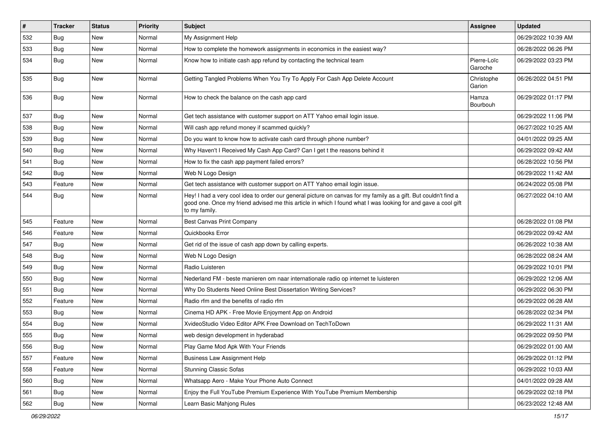| $\sharp$ | <b>Tracker</b> | <b>Status</b> | <b>Priority</b> | Subject                                                                                                                                                                                                                                           | <b>Assignee</b>        | <b>Updated</b>      |
|----------|----------------|---------------|-----------------|---------------------------------------------------------------------------------------------------------------------------------------------------------------------------------------------------------------------------------------------------|------------------------|---------------------|
| 532      | <b>Bug</b>     | New           | Normal          | My Assignment Help                                                                                                                                                                                                                                |                        | 06/29/2022 10:39 AM |
| 533      | <b>Bug</b>     | New           | Normal          | How to complete the homework assignments in economics in the easiest way?                                                                                                                                                                         |                        | 06/28/2022 06:26 PM |
| 534      | Bug            | New           | Normal          | Know how to initiate cash app refund by contacting the technical team                                                                                                                                                                             | Pierre-Loïc<br>Garoche | 06/29/2022 03:23 PM |
| 535      | Bug            | New           | Normal          | Getting Tangled Problems When You Try To Apply For Cash App Delete Account                                                                                                                                                                        | Christophe<br>Garion   | 06/26/2022 04:51 PM |
| 536      | Bug            | New           | Normal          | How to check the balance on the cash app card                                                                                                                                                                                                     | Hamza<br>Bourbouh      | 06/29/2022 01:17 PM |
| 537      | Bug            | New           | Normal          | Get tech assistance with customer support on ATT Yahoo email login issue.                                                                                                                                                                         |                        | 06/29/2022 11:06 PM |
| 538      | Bug            | New           | Normal          | Will cash app refund money if scammed quickly?                                                                                                                                                                                                    |                        | 06/27/2022 10:25 AM |
| 539      | Bug            | New           | Normal          | Do you want to know how to activate cash card through phone number?                                                                                                                                                                               |                        | 04/01/2022 09:25 AM |
| 540      | <b>Bug</b>     | <b>New</b>    | Normal          | Why Haven't I Received My Cash App Card? Can I get t the reasons behind it                                                                                                                                                                        |                        | 06/29/2022 09:42 AM |
| 541      | Bug            | <b>New</b>    | Normal          | How to fix the cash app payment failed errors?                                                                                                                                                                                                    |                        | 06/28/2022 10:56 PM |
| 542      | Bug            | New           | Normal          | Web N Logo Design                                                                                                                                                                                                                                 |                        | 06/29/2022 11:42 AM |
| 543      | Feature        | New           | Normal          | Get tech assistance with customer support on ATT Yahoo email login issue.                                                                                                                                                                         |                        | 06/24/2022 05:08 PM |
| 544      | Bug            | New           | Normal          | Hey! I had a very cool idea to order our general picture on canvas for my family as a gift. But couldn't find a<br>good one. Once my friend advised me this article in which I found what I was looking for and gave a cool gift<br>to my family. |                        | 06/27/2022 04:10 AM |
| 545      | Feature        | New           | Normal          | Best Canvas Print Company                                                                                                                                                                                                                         |                        | 06/28/2022 01:08 PM |
| 546      | Feature        | <b>New</b>    | Normal          | Quickbooks Error                                                                                                                                                                                                                                  |                        | 06/29/2022 09:42 AM |
| 547      | Bug            | <b>New</b>    | Normal          | Get rid of the issue of cash app down by calling experts.                                                                                                                                                                                         |                        | 06/26/2022 10:38 AM |
| 548      | <b>Bug</b>     | New           | Normal          | Web N Logo Design                                                                                                                                                                                                                                 |                        | 06/28/2022 08:24 AM |
| 549      | Bug            | New           | Normal          | Radio Luisteren                                                                                                                                                                                                                                   |                        | 06/29/2022 10:01 PM |
| 550      | Bug            | <b>New</b>    | Normal          | Nederland FM - beste manieren om naar internationale radio op internet te luisteren                                                                                                                                                               |                        | 06/29/2022 12:06 AM |
| 551      | Bug            | New           | Normal          | Why Do Students Need Online Best Dissertation Writing Services?                                                                                                                                                                                   |                        | 06/29/2022 06:30 PM |
| 552      | Feature        | New           | Normal          | Radio rfm and the benefits of radio rfm                                                                                                                                                                                                           |                        | 06/29/2022 06:28 AM |
| 553      | Bug            | New           | Normal          | Cinema HD APK - Free Movie Enjoyment App on Android                                                                                                                                                                                               |                        | 06/28/2022 02:34 PM |
| 554      | <b>Bug</b>     | New           | Normal          | XvideoStudio Video Editor APK Free Download on TechToDown                                                                                                                                                                                         |                        | 06/29/2022 11:31 AM |
| 555      | Bug            | New           | Normal          | web design development in hyderabad                                                                                                                                                                                                               |                        | 06/29/2022 09:50 PM |
| 556      | Bug            | New           | Normal          | Play Game Mod Apk With Your Friends                                                                                                                                                                                                               |                        | 06/29/2022 01:00 AM |
| 557      | Feature        | New           | Normal          | <b>Business Law Assignment Help</b>                                                                                                                                                                                                               |                        | 06/29/2022 01:12 PM |
| 558      | Feature        | New           | Normal          | <b>Stunning Classic Sofas</b>                                                                                                                                                                                                                     |                        | 06/29/2022 10:03 AM |
| 560      | Bug            | New           | Normal          | Whatsapp Aero - Make Your Phone Auto Connect                                                                                                                                                                                                      |                        | 04/01/2022 09:28 AM |
| 561      | Bug            | New           | Normal          | Enjoy the Full YouTube Premium Experience With YouTube Premium Membership                                                                                                                                                                         |                        | 06/29/2022 02:18 PM |
| 562      | <b>Bug</b>     | New           | Normal          | Learn Basic Mahjong Rules                                                                                                                                                                                                                         |                        | 06/23/2022 12:48 AM |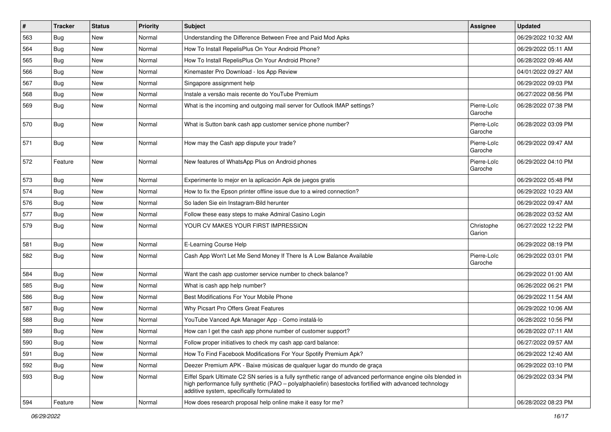| $\sharp$ | <b>Tracker</b> | <b>Status</b> | <b>Priority</b> | <b>Subject</b>                                                                                                                                                                                                                                                        | Assignee               | <b>Updated</b>      |
|----------|----------------|---------------|-----------------|-----------------------------------------------------------------------------------------------------------------------------------------------------------------------------------------------------------------------------------------------------------------------|------------------------|---------------------|
| 563      | <b>Bug</b>     | New           | Normal          | Understanding the Difference Between Free and Paid Mod Apks                                                                                                                                                                                                           |                        | 06/29/2022 10:32 AM |
| 564      | Bug            | New           | Normal          | How To Install RepelisPlus On Your Android Phone?                                                                                                                                                                                                                     |                        | 06/29/2022 05:11 AM |
| 565      | Bug            | New           | Normal          | How To Install RepelisPlus On Your Android Phone?                                                                                                                                                                                                                     |                        | 06/28/2022 09:46 AM |
| 566      | Bug            | New           | Normal          | Kinemaster Pro Download - los App Review                                                                                                                                                                                                                              |                        | 04/01/2022 09:27 AM |
| 567      | Bug            | <b>New</b>    | Normal          | Singapore assignment help                                                                                                                                                                                                                                             |                        | 06/29/2022 09:03 PM |
| 568      | <b>Bug</b>     | New           | Normal          | Instale a versão mais recente do YouTube Premium                                                                                                                                                                                                                      |                        | 06/27/2022 08:56 PM |
| 569      | Bug            | New           | Normal          | What is the incoming and outgoing mail server for Outlook IMAP settings?                                                                                                                                                                                              | Pierre-Loïc<br>Garoche | 06/28/2022 07:38 PM |
| 570      | Bug            | New           | Normal          | What is Sutton bank cash app customer service phone number?                                                                                                                                                                                                           | Pierre-Loïc<br>Garoche | 06/28/2022 03:09 PM |
| 571      | Bug            | New           | Normal          | How may the Cash app dispute your trade?                                                                                                                                                                                                                              | Pierre-Loïc<br>Garoche | 06/29/2022 09:47 AM |
| 572      | Feature        | New           | Normal          | New features of WhatsApp Plus on Android phones                                                                                                                                                                                                                       | Pierre-Loïc<br>Garoche | 06/29/2022 04:10 PM |
| 573      | Bug            | <b>New</b>    | Normal          | Experimente lo mejor en la aplicación Apk de juegos gratis                                                                                                                                                                                                            |                        | 06/29/2022 05:48 PM |
| 574      | Bug            | New           | Normal          | How to fix the Epson printer offline issue due to a wired connection?                                                                                                                                                                                                 |                        | 06/29/2022 10:23 AM |
| 576      | <b>Bug</b>     | New           | Normal          | So laden Sie ein Instagram-Bild herunter                                                                                                                                                                                                                              |                        | 06/29/2022 09:47 AM |
| 577      | <b>Bug</b>     | New           | Normal          | Follow these easy steps to make Admiral Casino Login                                                                                                                                                                                                                  |                        | 06/28/2022 03:52 AM |
| 579      | Bug            | New           | Normal          | YOUR CV MAKES YOUR FIRST IMPRESSION                                                                                                                                                                                                                                   | Christophe<br>Garion   | 06/27/2022 12:22 PM |
| 581      | Bug            | New           | Normal          | E-Learning Course Help                                                                                                                                                                                                                                                |                        | 06/29/2022 08:19 PM |
| 582      | Bug            | New           | Normal          | Cash App Won't Let Me Send Money If There Is A Low Balance Available                                                                                                                                                                                                  | Pierre-Loïc<br>Garoche | 06/29/2022 03:01 PM |
| 584      | Bug            | New           | Normal          | Want the cash app customer service number to check balance?                                                                                                                                                                                                           |                        | 06/29/2022 01:00 AM |
| 585      | <b>Bug</b>     | New           | Normal          | What is cash app help number?                                                                                                                                                                                                                                         |                        | 06/26/2022 06:21 PM |
| 586      | Bug            | New           | Normal          | Best Modifications For Your Mobile Phone                                                                                                                                                                                                                              |                        | 06/29/2022 11:54 AM |
| 587      | Bug            | New           | Normal          | Why Picsart Pro Offers Great Features                                                                                                                                                                                                                                 |                        | 06/29/2022 10:06 AM |
| 588      | <b>Bug</b>     | New           | Normal          | YouTube Vanced Apk Manager App - Como instalá-lo                                                                                                                                                                                                                      |                        | 06/28/2022 10:56 PM |
| 589      | <b>Bug</b>     | New           | Normal          | How can I get the cash app phone number of customer support?                                                                                                                                                                                                          |                        | 06/28/2022 07:11 AM |
| 590      | <b>Bug</b>     | New           | Normal          | Follow proper initiatives to check my cash app card balance:                                                                                                                                                                                                          |                        | 06/27/2022 09:57 AM |
| 591      | Bug            | New           | Normal          | How To Find Facebook Modifications For Your Spotify Premium Apk?                                                                                                                                                                                                      |                        | 06/29/2022 12:40 AM |
| 592      | Bug            | New           | Normal          | Deezer Premium APK - Baixe músicas de qualquer lugar do mundo de graça                                                                                                                                                                                                |                        | 06/29/2022 03:10 PM |
| 593      | Bug            | New           | Normal          | Eiffel Spark Ultimate C2 SN series is a fully synthetic range of advanced performance engine oils blended in<br>high performance fully synthetic (PAO - polyalphaolefin) basestocks fortified with advanced technology<br>additive system, specifically formulated to |                        | 06/29/2022 03:34 PM |
| 594      | Feature        | New           | Normal          | How does research proposal help online make it easy for me?                                                                                                                                                                                                           |                        | 06/28/2022 08:23 PM |